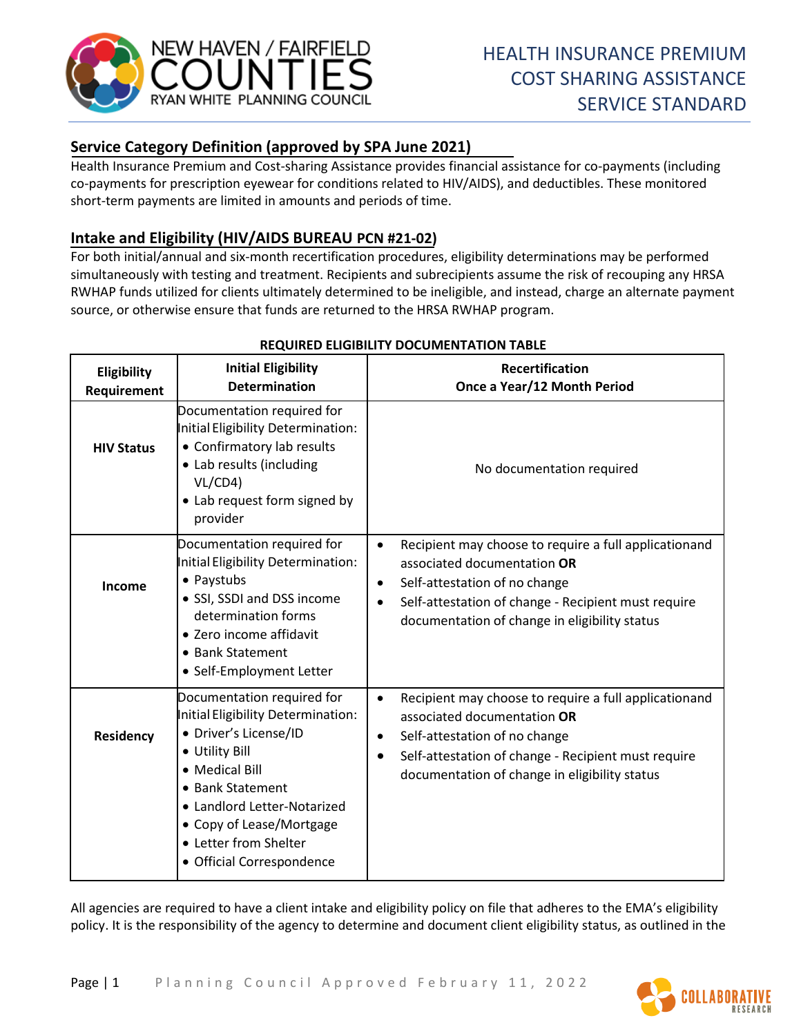

# **Service Category Definition (approved by SPA June 2021)**

Health Insurance Premium and Cost-sharing Assistance provides financial assistance for co-payments (including co-payments for prescription eyewear for conditions related to HIV/AIDS), and deductibles. These monitored short-term payments are limited in amounts and periods of time.

## **Intake and Eligibility (HIV/AIDS BUREAU PCN #21-02)**

For both initial/annual and six-month recertification procedures, eligibility determinations may be performed simultaneously with testing and treatment. Recipients and subrecipients assume the risk of recouping any HRSA RWHAP funds utilized for clients ultimately determined to be ineligible, and instead, charge an alternate payment source, or otherwise ensure that funds are returned to the HRSA RWHAP program.

| Eligibility<br>Requirement | <b>Initial Eligibility</b><br><b>Determination</b>                                                                                                                                                                                                                 | <b>Recertification</b><br>Once a Year/12 Month Period                                                                                                                                                                                                                |
|----------------------------|--------------------------------------------------------------------------------------------------------------------------------------------------------------------------------------------------------------------------------------------------------------------|----------------------------------------------------------------------------------------------------------------------------------------------------------------------------------------------------------------------------------------------------------------------|
| <b>HIV Status</b>          | Documentation required for<br>Initial Eligibility Determination:<br>• Confirmatory lab results<br>• Lab results (including<br>VL/CD4<br>• Lab request form signed by<br>provider                                                                                   | No documentation required                                                                                                                                                                                                                                            |
| Income                     | Documentation required for<br>Initial Eligibility Determination:<br>• Paystubs<br>· SSI, SSDI and DSS income<br>determination forms<br>• Zero income affidavit<br>• Bank Statement<br>• Self-Employment Letter                                                     | Recipient may choose to require a full applicationand<br>$\bullet$<br>associated documentation OR<br>Self-attestation of no change<br>$\bullet$<br>Self-attestation of change - Recipient must require<br>$\bullet$<br>documentation of change in eligibility status |
| <b>Residency</b>           | Documentation required for<br>Initial Eligibility Determination:<br>· Driver's License/ID<br>• Utility Bill<br>• Medical Bill<br>• Bank Statement<br>• Landlord Letter-Notarized<br>• Copy of Lease/Mortgage<br>• Letter from Shelter<br>• Official Correspondence | Recipient may choose to require a full applicationand<br>$\bullet$<br>associated documentation OR<br>Self-attestation of no change<br>٠<br>Self-attestation of change - Recipient must require<br>$\bullet$<br>documentation of change in eligibility status         |

### **REQUIRED ELIGIBILITY DOCUMENTATION TABLE**

All agencies are required to have a client intake and eligibility policy on file that adheres to the EMA's eligibility policy. It is the responsibility of the agency to determine and document client eligibility status, as outlined in the

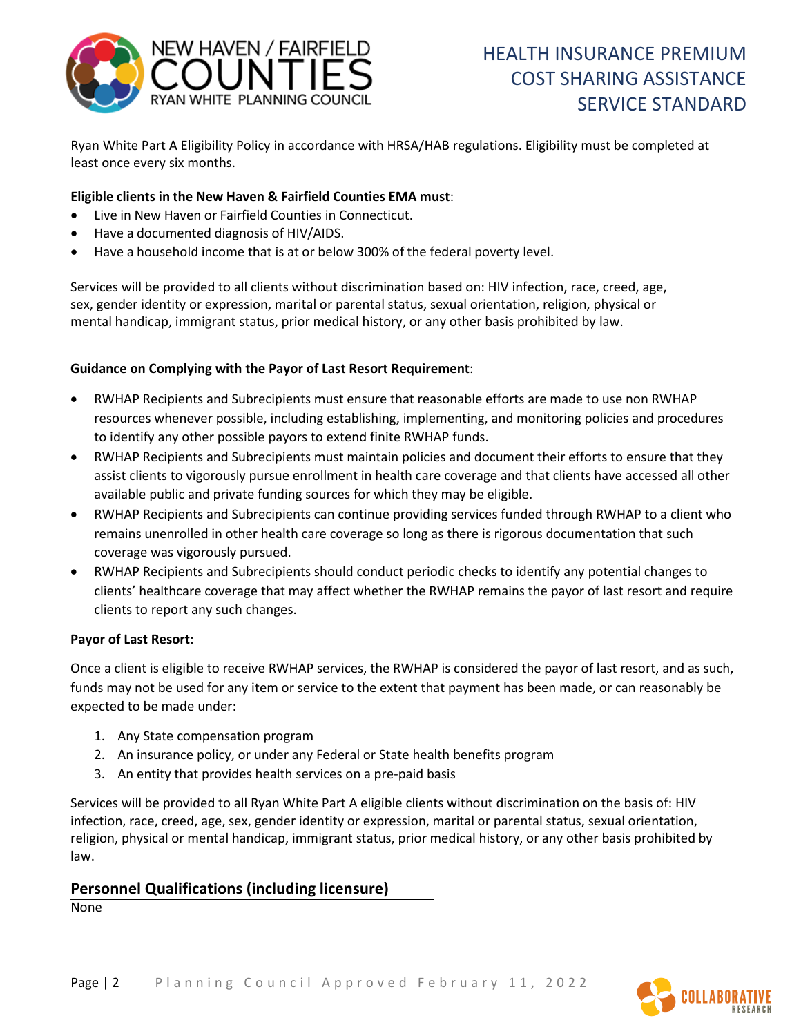

Ryan White Part A Eligibility Policy in accordance with HRSA/HAB regulations. Eligibility must be completed at least once every six months.

#### **Eligible clients in the New Haven & Fairfield Counties EMA must**:

- Live in New Haven or Fairfield Counties in Connecticut.
- Have a documented diagnosis of HIV/AIDS.
- Have a household income that is at or below 300% of the federal poverty level.

Services will be provided to all clients without discrimination based on: HIV infection, race, creed, age, sex, gender identity or expression, marital or parental status, sexual orientation, religion, physical or mental handicap, immigrant status, prior medical history, or any other basis prohibited by law.

#### **Guidance on Complying with the Payor of Last Resort Requirement**:

- RWHAP Recipients and Subrecipients must ensure that reasonable efforts are made to use non RWHAP resources whenever possible, including establishing, implementing, and monitoring policies and procedures to identify any other possible payors to extend finite RWHAP funds.
- RWHAP Recipients and Subrecipients must maintain policies and document their efforts to ensure that they assist clients to vigorously pursue enrollment in health care coverage and that clients have accessed all other available public and private funding sources for which they may be eligible.
- RWHAP Recipients and Subrecipients can continue providing services funded through RWHAP to a client who remains unenrolled in other health care coverage so long as there is rigorous documentation that such coverage was vigorously pursued.
- RWHAP Recipients and Subrecipients should conduct periodic checks to identify any potential changes to clients' healthcare coverage that may affect whether the RWHAP remains the payor of last resort and require clients to report any such changes.

#### **Payor of Last Resort**:

Once a client is eligible to receive RWHAP services, the RWHAP is considered the payor of last resort, and as such, funds may not be used for any item or service to the extent that payment has been made, or can reasonably be expected to be made under:

- 1. Any State compensation program
- 2. An insurance policy, or under any Federal or State health benefits program
- 3. An entity that provides health services on a pre-paid basis

Services will be provided to all Ryan White Part A eligible clients without discrimination on the basis of: HIV infection, race, creed, age, sex, gender identity or expression, marital or parental status, sexual orientation, religion, physical or mental handicap, immigrant status, prior medical history, or any other basis prohibited by law.

### **Personnel Qualifications (including licensure)**

None

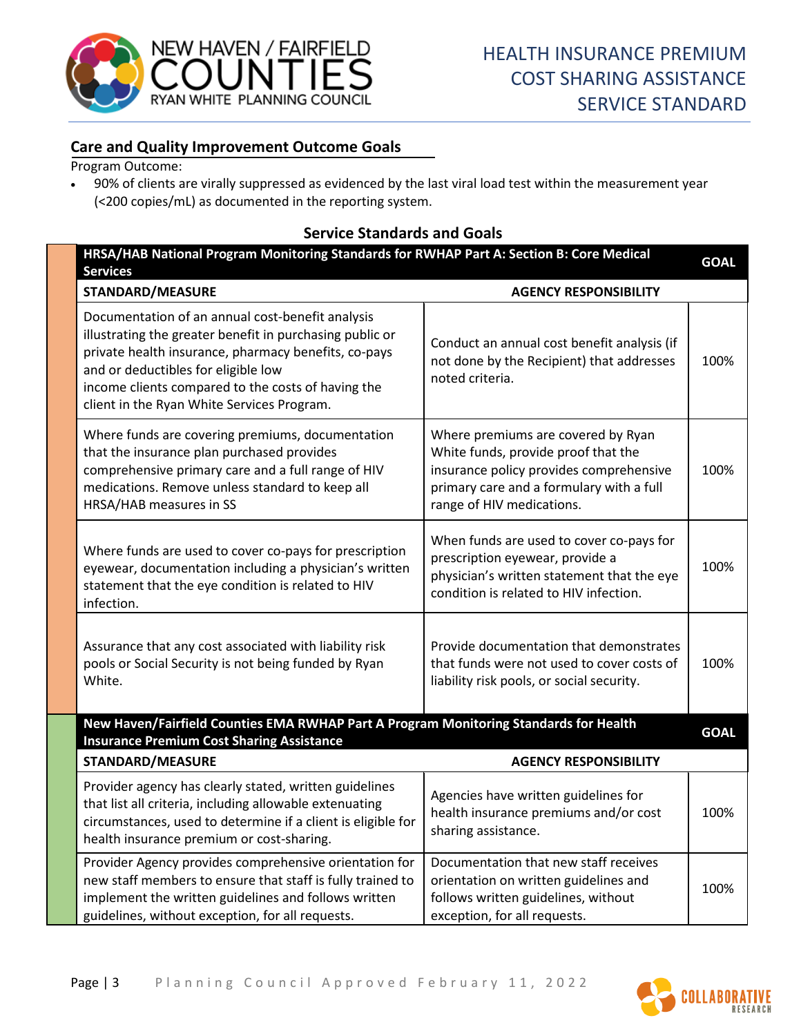

### **Care and Quality Improvement Outcome Goals**

Program Outcome:

• 90% of clients are virally suppressed as evidenced by the last viral load test within the measurement year (<200 copies/mL) as documented in the reporting system.

#### **Service Standards and Goals**

| HRSA/HAB National Program Monitoring Standards for RWHAP Part A: Section B: Core Medical<br><b>Services</b>                                                                                                                                                                                                     |                                                                                                                                                                                               |             |
|-----------------------------------------------------------------------------------------------------------------------------------------------------------------------------------------------------------------------------------------------------------------------------------------------------------------|-----------------------------------------------------------------------------------------------------------------------------------------------------------------------------------------------|-------------|
| <b>STANDARD/MEASURE</b>                                                                                                                                                                                                                                                                                         | <b>AGENCY RESPONSIBILITY</b>                                                                                                                                                                  |             |
| Documentation of an annual cost-benefit analysis<br>illustrating the greater benefit in purchasing public or<br>private health insurance, pharmacy benefits, co-pays<br>and or deductibles for eligible low<br>income clients compared to the costs of having the<br>client in the Ryan White Services Program. | Conduct an annual cost benefit analysis (if<br>not done by the Recipient) that addresses<br>noted criteria.                                                                                   | 100%        |
| Where funds are covering premiums, documentation<br>that the insurance plan purchased provides<br>comprehensive primary care and a full range of HIV<br>medications. Remove unless standard to keep all<br>HRSA/HAB measures in SS                                                                              | Where premiums are covered by Ryan<br>White funds, provide proof that the<br>insurance policy provides comprehensive<br>primary care and a formulary with a full<br>range of HIV medications. | 100%        |
| Where funds are used to cover co-pays for prescription<br>eyewear, documentation including a physician's written<br>statement that the eye condition is related to HIV<br>infection.                                                                                                                            | When funds are used to cover co-pays for<br>prescription eyewear, provide a<br>physician's written statement that the eye<br>condition is related to HIV infection.                           | 100%        |
| Assurance that any cost associated with liability risk<br>pools or Social Security is not being funded by Ryan<br>White.                                                                                                                                                                                        | Provide documentation that demonstrates<br>that funds were not used to cover costs of<br>liability risk pools, or social security.                                                            | 100%        |
| New Haven/Fairfield Counties EMA RWHAP Part A Program Monitoring Standards for Health<br><b>Insurance Premium Cost Sharing Assistance</b>                                                                                                                                                                       |                                                                                                                                                                                               | <b>GOAL</b> |
| <b>STANDARD/MEASURE</b>                                                                                                                                                                                                                                                                                         | <b>AGENCY RESPONSIBILITY</b>                                                                                                                                                                  |             |
| Provider agency has clearly stated, written guidelines<br>that list all criteria, including allowable extenuating<br>circumstances, used to determine if a client is eligible for<br>health insurance premium or cost-sharing.                                                                                  | Agencies have written guidelines for<br>health insurance premiums and/or cost<br>sharing assistance.                                                                                          | 100%        |
| Provider Agency provides comprehensive orientation for<br>new staff members to ensure that staff is fully trained to<br>implement the written guidelines and follows written<br>guidelines, without exception, for all requests.                                                                                | Documentation that new staff receives<br>orientation on written guidelines and<br>follows written guidelines, without<br>exception, for all requests.                                         | 100%        |